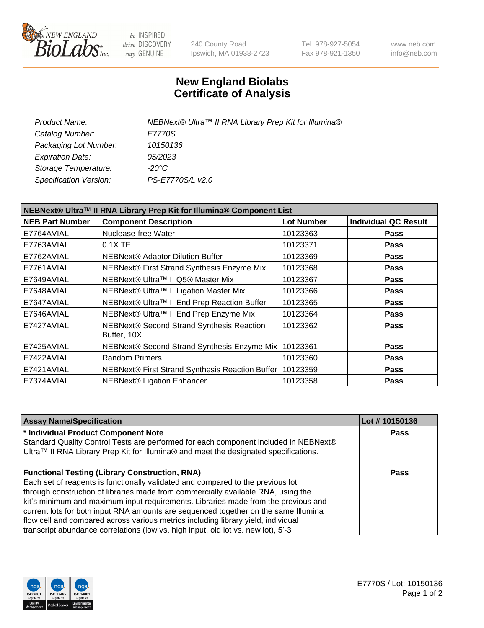

be INSPIRED drive DISCOVERY stay GENUINE

240 County Road Ipswich, MA 01938-2723 Tel 978-927-5054 Fax 978-921-1350 www.neb.com info@neb.com

## **New England Biolabs Certificate of Analysis**

| Product Name:           | NEBNext® Ultra™ II RNA Library Prep Kit for Illumina® |
|-------------------------|-------------------------------------------------------|
| Catalog Number:         | E7770S                                                |
| Packaging Lot Number:   | 10150136                                              |
| <b>Expiration Date:</b> | <i>05/2023</i>                                        |
| Storage Temperature:    | -20°C                                                 |
| Specification Version:  | PS-E7770S/L v2.0                                      |

| NEBNext® Ultra™ II RNA Library Prep Kit for Illumina® Component List |                                                            |                   |                             |  |  |
|----------------------------------------------------------------------|------------------------------------------------------------|-------------------|-----------------------------|--|--|
| <b>NEB Part Number</b>                                               | <b>Component Description</b>                               | <b>Lot Number</b> | <b>Individual QC Result</b> |  |  |
| E7764AVIAL                                                           | Nuclease-free Water                                        | 10123363          | <b>Pass</b>                 |  |  |
| E7763AVIAL                                                           | $0.1X$ TE                                                  | 10123371          | <b>Pass</b>                 |  |  |
| E7762AVIAL                                                           | <b>NEBNext® Adaptor Dilution Buffer</b>                    | 10123369          | <b>Pass</b>                 |  |  |
| E7761AVIAL                                                           | NEBNext® First Strand Synthesis Enzyme Mix                 | 10123368          | <b>Pass</b>                 |  |  |
| E7649AVIAL                                                           | NEBNext® Ultra™ II Q5® Master Mix                          | 10123367          | <b>Pass</b>                 |  |  |
| E7648AVIAL                                                           | NEBNext® Ultra™ II Ligation Master Mix                     | 10123366          | <b>Pass</b>                 |  |  |
| E7647AVIAL                                                           | NEBNext® Ultra™ II End Prep Reaction Buffer                | 10123365          | <b>Pass</b>                 |  |  |
| E7646AVIAL                                                           | NEBNext® Ultra™ II End Prep Enzyme Mix                     | 10123364          | <b>Pass</b>                 |  |  |
| E7427AVIAL                                                           | NEBNext® Second Strand Synthesis Reaction<br>Buffer, 10X   | 10123362          | <b>Pass</b>                 |  |  |
| E7425AVIAL                                                           | NEBNext® Second Strand Synthesis Enzyme Mix   10123361     |                   | <b>Pass</b>                 |  |  |
| E7422AVIAL                                                           | <b>Random Primers</b>                                      | 10123360          | <b>Pass</b>                 |  |  |
| E7421AVIAL                                                           | NEBNext® First Strand Synthesis Reaction Buffer   10123359 |                   | <b>Pass</b>                 |  |  |
| E7374AVIAL                                                           | NEBNext® Ligation Enhancer                                 | 10123358          | <b>Pass</b>                 |  |  |

| <b>Assay Name/Specification</b>                                                                                                                                                                                                                                                                                                                                                                                                                                                                                                                                                       | Lot #10150136 |
|---------------------------------------------------------------------------------------------------------------------------------------------------------------------------------------------------------------------------------------------------------------------------------------------------------------------------------------------------------------------------------------------------------------------------------------------------------------------------------------------------------------------------------------------------------------------------------------|---------------|
| * Individual Product Component Note<br>Standard Quality Control Tests are performed for each component included in NEBNext®<br>Ultra™ II RNA Library Prep Kit for Illumina® and meet the designated specifications.                                                                                                                                                                                                                                                                                                                                                                   | <b>Pass</b>   |
| <b>Functional Testing (Library Construction, RNA)</b><br>Each set of reagents is functionally validated and compared to the previous lot<br>through construction of libraries made from commercially available RNA, using the<br>kit's minimum and maximum input requirements. Libraries made from the previous and<br>current lots for both input RNA amounts are sequenced together on the same Illumina<br>flow cell and compared across various metrics including library yield, individual<br>transcript abundance correlations (low vs. high input, old lot vs. new lot), 5'-3' | Pass          |